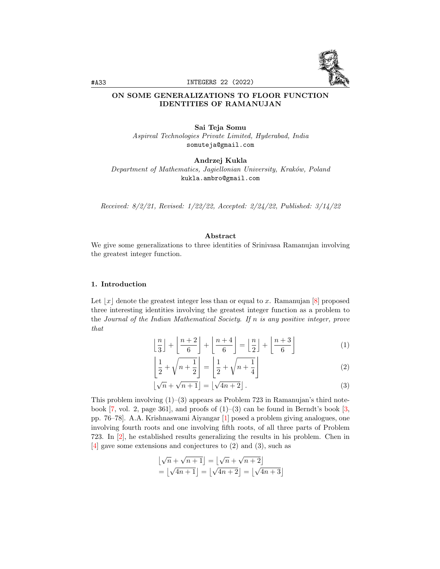

#A33 INTEGERS 22 (2022)

# ON SOME GENERALIZATIONS TO FLOOR FUNCTION IDENTITIES OF RAMANUJAN

Sai Teja Somu Aspireal Technologies Private Limited, Hyderabad, India somuteja@gmail.com

Andrzej Kukla

Department of Mathematics, Jagiellonian University, Kraków, Poland kukla.ambro@gmail.com

Received: 8/2/21, Revised: 1/22/22, Accepted: 2/24/22, Published: 3/14/22

# Abstract

We give some generalizations to three identities of Srinivasa Ramanujan involving the greatest integer function.

# 1. Introduction

Let  $|x|$  denote the greatest integer less than or equal to x. Ramanujan [\[8\]](#page-10-0) proposed three interesting identities involving the greatest integer function as a problem to the Journal of the Indian Mathematical Society. If n is any positive integer, prove that

$$
\left\lfloor \frac{n}{3} \right\rfloor + \left\lfloor \frac{n+2}{6} \right\rfloor + \left\lfloor \frac{n+4}{6} \right\rfloor = \left\lfloor \frac{n}{2} \right\rfloor + \left\lfloor \frac{n+3}{6} \right\rfloor \tag{1}
$$

$$
\left\lfloor \frac{1}{2} + \sqrt{n + \frac{1}{2}} \right\rfloor = \left\lfloor \frac{1}{2} + \sqrt{n + \frac{1}{4}} \right\rfloor \tag{2}
$$

$$
\lfloor \sqrt{n} + \sqrt{n+1} \rfloor = \lfloor \sqrt{4n+2} \rfloor.
$$
 (3)

This problem involving  $(1)$ – $(3)$  appears as Problem 723 in Ramanujan's third notebook  $[7, \text{vol. } 2, \text{ page } 361]$  $[7, \text{vol. } 2, \text{ page } 361]$ , and proofs of  $(1)-(3)$  can be found in Berndt's book  $[3, \text{vol. } 2, \text{ page } 361]$  $[3, \text{vol. } 2, \text{ page } 361]$ pp. 76–78]. A.A. Krishnaswami Aiyangar [\[1\]](#page-10-3) posed a problem giving analogues, one involving fourth roots and one involving fifth roots, of all three parts of Problem 723. In [\[2\]](#page-10-4), he established results generalizing the results in his problem. Chen in [\[4\]](#page-10-5) gave some extensions and conjectures to (2) and (3), such as

$$
\lfloor \sqrt{n} + \sqrt{n+1} \rfloor = \lfloor \sqrt{n} + \sqrt{n+2} \rfloor
$$

$$
= \lfloor \sqrt{4n+1} \rfloor = \lfloor \sqrt{4n+2} \rfloor = \lfloor \sqrt{4n+3} \rfloor
$$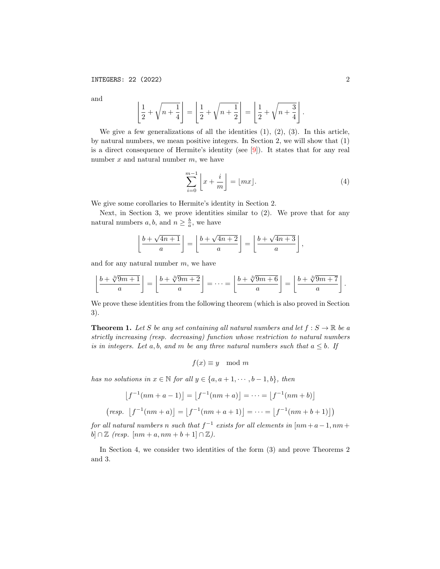and

$$
\left\lfloor \frac{1}{2} + \sqrt{n + \frac{1}{4}} \right\rfloor = \left\lfloor \frac{1}{2} + \sqrt{n + \frac{1}{2}} \right\rfloor = \left\lfloor \frac{1}{2} + \sqrt{n + \frac{3}{4}} \right\rfloor.
$$

We give a few generalizations of all the identities  $(1)$ ,  $(2)$ ,  $(3)$ . In this article, by natural numbers, we mean positive integers. In Section 2, we will show that (1) is a direct consequence of Hermite's identity (see [\[9\]](#page-10-6)). It states that for any real number  $x$  and natural number  $m$ , we have

$$
\sum_{i=0}^{m-1} \left[ x + \frac{i}{m} \right] = \lfloor mx \rfloor. \tag{4}
$$

We give some corollaries to Hermite's identity in Section 2.

Next, in Section 3, we prove identities similar to (2). We prove that for any natural numbers  $a, b$ , and  $n \geq \frac{b}{a}$ , we have

$$
\left\lfloor \frac{b+\sqrt{4n+1}}{a} \right\rfloor = \left\lfloor \frac{b+\sqrt{4n+2}}{a} \right\rfloor = \left\lfloor \frac{b+\sqrt{4n+3}}{a} \right\rfloor,
$$

and for any natural number  $m$ , we have

$$
\left\lfloor \frac{b + \sqrt[3]{9m + 1}}{a} \right\rfloor = \left\lfloor \frac{b + \sqrt[3]{9m + 2}}{a} \right\rfloor = \dots = \left\lfloor \frac{b + \sqrt[3]{9m + 6}}{a} \right\rfloor = \left\lfloor \frac{b + \sqrt[3]{9m + 7}}{a} \right\rfloor.
$$

We prove these identities from the following theorem (which is also proved in Section 3).

**Theorem 1.** Let S be any set containing all natural numbers and let  $f : S \to \mathbb{R}$  be a strictly increasing (resp. decreasing) function whose restriction to natural numbers is in integers. Let a, b, and m be any three natural numbers such that  $a \leq b$ . If

$$
f(x) \equiv y \mod m
$$

has no solutions in  $x \in \mathbb{N}$  for all  $y \in \{a, a+1, \dots, b-1, b\}$ , then

$$
[f^{-1}(nm+a-1)] = [f^{-1}(nm+a)] = \dots = [f^{-1}(nm+b)]
$$
  
(resp. 
$$
[f^{-1}(nm+a)] = [f^{-1}(nm+a+1)] = \dots = [f^{-1}(nm+b+1)]
$$
)

for all natural numbers n such that  $f^{-1}$  exists for all elements in  $\lceil nm+a-1,nm+1\rceil$ b]  $\cap \mathbb{Z}$  (resp.  $[nm + a, nm + b + 1] \cap \mathbb{Z}$ ).

In Section 4, we consider two identities of the form (3) and prove Theorems 2 and 3.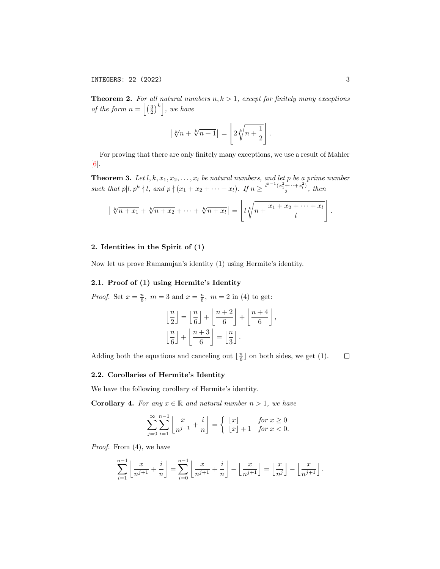**Theorem 2.** For all natural numbers  $n, k > 1$ , except for finitely many exceptions of the form  $n = \left\lfloor \left(\frac{3}{2}\right)^k \right\rfloor$ , we have

$$
\lfloor \sqrt[k]{n} + \sqrt[k]{n+1} \rfloor = \left\lfloor 2\sqrt[k]{n+\frac{1}{2}} \right\rfloor.
$$

For proving that there are only finitely many exceptions, we use a result of Mahler  $\vert 6 \vert$ .

**Theorem 3.** Let  $l, k, x_1, x_2, \ldots, x_l$  be natural numbers, and let p be a prime number such that  $p\vert l, p^k \nmid l$ , and  $p \nmid (x_1 + x_2 + \cdots + x_l)$ . If  $n \geq \frac{l^{k-1}(x_1^2 + \cdots + x_l^2)}{2}$  $\frac{+\cdots+x_l}{2}$ , then

$$
\lfloor \sqrt[k]{n+x_1} + \sqrt[k]{n+x_2} + \cdots + \sqrt[k]{n+x_l} \rfloor = \left\lfloor l \sqrt[k]{n + \frac{x_1 + x_2 + \cdots + x_l}{l}} \right\rfloor.
$$

## 2. Identities in the Spirit of (1)

Now let us prove Ramanujan's identity (1) using Hermite's identity.

#### 2.1. Proof of (1) using Hermite's Identity

*Proof.* Set  $x = \frac{n}{6}$ ,  $m = 3$  and  $x = \frac{n}{6}$ ,  $m = 2$  in (4) to get:

$$
\left\lfloor \frac{n}{2} \right\rfloor = \left\lfloor \frac{n}{6} \right\rfloor + \left\lfloor \frac{n+2}{6} \right\rfloor + \left\lfloor \frac{n+4}{6} \right\rfloor,
$$

$$
\left\lfloor \frac{n}{6} \right\rfloor + \left\lfloor \frac{n+3}{6} \right\rfloor = \left\lfloor \frac{n}{3} \right\rfloor.
$$

Adding both the equations and canceling out  $\lfloor \frac{n}{6} \rfloor$  on both sides, we get (1).

 $\Box$ 

# 2.2. Corollaries of Hermite's Identity

We have the following corollary of Hermite's identity.

**Corollary 4.** For any  $x \in \mathbb{R}$  and natural number  $n > 1$ , we have

$$
\sum_{j=0}^{\infty} \sum_{i=1}^{n-1} \left\lfloor \frac{x}{n^{j+1}} + \frac{i}{n} \right\rfloor = \begin{cases} \lfloor x \rfloor & \text{for } x \ge 0\\ \lfloor x \rfloor + 1 & \text{for } x < 0. \end{cases}
$$

Proof. From  $(4)$ , we have

$$
\sum_{i=1}^{n-1} \left\lfloor \frac{x}{n^{j+1}} + \frac{i}{n} \right\rfloor = \sum_{i=0}^{n-1} \left\lfloor \frac{x}{n^{j+1}} + \frac{i}{n} \right\rfloor - \left\lfloor \frac{x}{n^{j+1}} \right\rfloor = \left\lfloor \frac{x}{n^j} \right\rfloor - \left\lfloor \frac{x}{n^{j+1}} \right\rfloor.
$$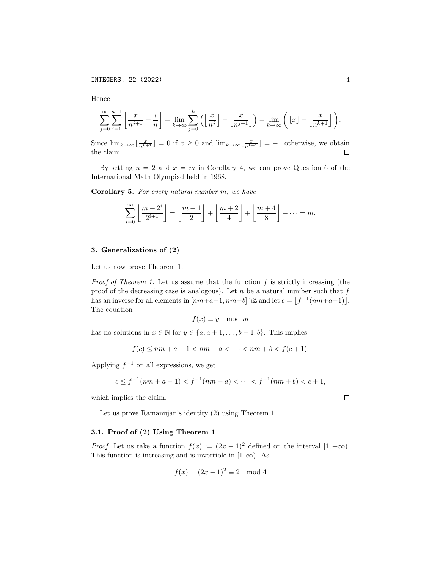Hence

$$
\sum_{j=0}^{\infty} \sum_{i=1}^{n-1} \left\lfloor \frac{x}{n^{j+1}} + \frac{i}{n} \right\rfloor = \lim_{k \to \infty} \sum_{j=0}^{k} \left( \left\lfloor \frac{x}{n^{j}} \right\rfloor - \left\lfloor \frac{x}{n^{j+1}} \right\rfloor \right) = \lim_{k \to \infty} \left( \left\lfloor x \right\rfloor - \left\lfloor \frac{x}{n^{k+1}} \right\rfloor \right).
$$

Since  $\lim_{k\to\infty} \lfloor \frac{x}{n^{k+1}} \rfloor = 0$  if  $x \geq 0$  and  $\lim_{k\to\infty} \lfloor \frac{x}{n^{k+1}} \rfloor = -1$  otherwise, we obtain the claim.

By setting  $n = 2$  and  $x = m$  in Corollary 4, we can prove Question 6 of the International Math Olympiad held in 1968.

Corollary 5. For every natural number m, we have

$$
\sum_{i=0}^{\infty} \left\lfloor \frac{m+2^i}{2^{i+1}} \right\rfloor = \left\lfloor \frac{m+1}{2} \right\rfloor + \left\lfloor \frac{m+2}{4} \right\rfloor + \left\lfloor \frac{m+4}{8} \right\rfloor + \dots = m.
$$

## 3. Generalizations of (2)

Let us now prove Theorem 1.

*Proof of Theorem 1.* Let us assume that the function f is strictly increasing (the proof of the decreasing case is analogous). Let  $n$  be a natural number such that  $f$ has an inverse for all elements in  $\left[ nm+a-1, nm+b \right] \cap \mathbb{Z}$  and let  $c = \left[ f^{-1}(nm+a-1) \right]$ . The equation

$$
f(x) \equiv y \mod m
$$

has no solutions in  $x \in \mathbb{N}$  for  $y \in \{a, a+1, \ldots, b-1, b\}$ . This implies

$$
f(c) \le nm + a - 1 < nm + a < \dots < nm + b < f(c + 1).
$$

Applying  $f^{-1}$  on all expressions, we get

$$
c \le f^{-1}(nm + a - 1) < f^{-1}(nm + a) < \dots < f^{-1}(nm + b) < c + 1,
$$

which implies the claim.

Let us prove Ramanujan's identity (2) using Theorem 1.

# 3.1. Proof of (2) Using Theorem 1

*Proof.* Let us take a function  $f(x) := (2x - 1)^2$  defined on the interval  $[1, +\infty)$ . This function is increasing and is invertible in  $[1, \infty)$ . As

$$
f(x) = (2x - 1)^2 \equiv 2 \mod 4
$$

 $\Box$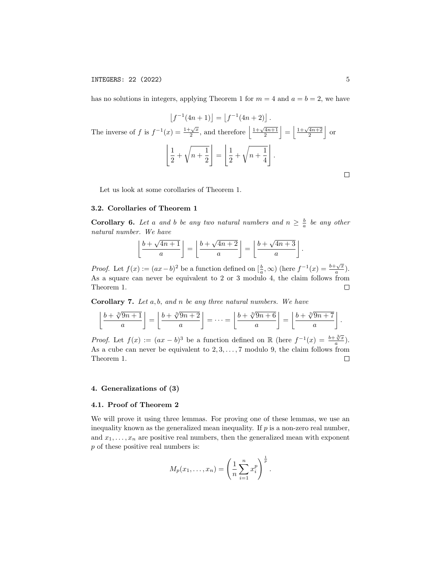has no solutions in integers, applying Theorem 1 for  $m = 4$  and  $a = b = 2$ , we have

$$
\lfloor f^{-1}(4n+1) \rfloor = \lfloor f^{-1}(4n+2) \rfloor.
$$
\nThe inverse of  $f$  is  $f^{-1}(x) = \frac{1+\sqrt{x}}{2}$ , and therefore  $\left\lfloor \frac{1+\sqrt{4n+1}}{2} \right\rfloor = \left\lfloor \frac{1+\sqrt{4n+2}}{2} \right\rfloor$  or 
$$
\left\lfloor \frac{1}{2} + \sqrt{n + \frac{1}{2}} \right\rfloor = \left\lfloor \frac{1}{2} + \sqrt{n + \frac{1}{4}} \right\rfloor.
$$

Let us look at some corollaries of Theorem 1.

#### 3.2. Corollaries of Theorem 1

**Corollary 6.** Let a and b be any two natural numbers and  $n \geq \frac{b}{a}$  be any other natural number. We have

$$
\left\lfloor \frac{b+\sqrt{4n+1}}{a} \right\rfloor = \left\lfloor \frac{b+\sqrt{4n+2}}{a} \right\rfloor = \left\lfloor \frac{b+\sqrt{4n+3}}{a} \right\rfloor
$$

*Proof.* Let  $f(x) := (ax - b)^2$  be a function defined on  $\left[\frac{b}{a}, \infty\right)$  (here  $f^{-1}(x) = \frac{b + \sqrt{x}}{a}$  $\frac{\sqrt{x}}{a}$ . As a square can never be equivalent to 2 or 3 modulo 4, the claim follows from Theorem 1.  $\Box$ 

Corollary 7. Let a, b, and n be any three natural numbers. We have

$$
\left\lfloor \frac{b + \sqrt[3]{9n+1}}{a} \right\rfloor = \left\lfloor \frac{b + \sqrt[3]{9n+2}}{a} \right\rfloor = \dots = \left\lfloor \frac{b + \sqrt[3]{9n+6}}{a} \right\rfloor = \left\lfloor \frac{b + \sqrt[3]{9n+7}}{a} \right\rfloor.
$$

*Proof.* Let  $f(x) := (ax - b)^3$  be a function defined on R (here  $f^{-1}(x) = \frac{b + \sqrt[3]{x}}{a}$  $\frac{\sqrt[n]{x}}{a}$ . As a cube can never be equivalent to  $2, 3, \ldots, 7$  modulo 9, the claim follows from Theorem 1.  $\Box$ 

#### 4. Generalizations of (3)

#### 4.1. Proof of Theorem 2

We will prove it using three lemmas. For proving one of these lemmas, we use an inequality known as the generalized mean inequality. If  $p$  is a non-zero real number, and  $x_1, \ldots, x_n$  are positive real numbers, then the generalized mean with exponent p of these positive real numbers is:

$$
M_p(x_1,...,x_n) = \left(\frac{1}{n}\sum_{i=1}^n x_i^p\right)^{\frac{1}{p}}.
$$

.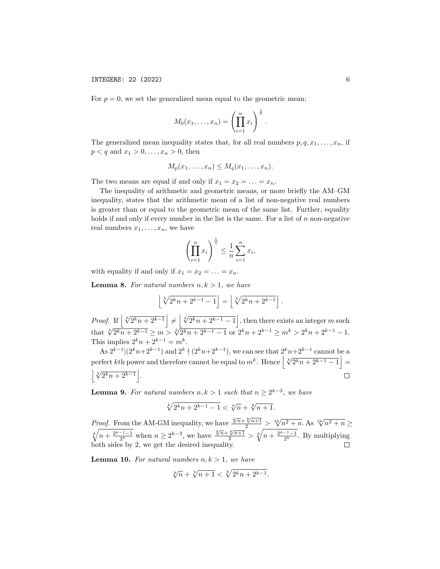For  $p = 0$ , we set the generalized mean equal to the geometric mean:

$$
M_0(x_1,\ldots,x_n)=\left(\prod_{i=1}^n x_i\right)^{\frac{1}{n}}.
$$

The generalized mean inequality states that, for all real numbers  $p, q, x_1, \ldots, x_n$ , if  $p < q$  and  $x_1 > 0, ..., x_n > 0$ , then

$$
M_p(x_1,\ldots,x_n)\leq M_q(x_1,\ldots,x_n).
$$

The two means are equal if and only if  $x_1 = x_2 = \ldots = x_n$ .

The inequality of arithmetic and geometric means, or more briefly the AM–GM inequality, states that the arithmetic mean of a list of non-negative real numbers is greater than or equal to the geometric mean of the same list. Further, equality holds if and only if every number in the list is the same. For a list of  $n$  non-negative real numbers  $x_1, \ldots, x_n$ , we have

$$
\left(\prod_{i=1}^n x_i\right)^{\frac{1}{n}} \le \frac{1}{n} \sum_{i=1}^n x_i,
$$

with equality if and only if  $x_1 = x_2 = \ldots = x_n$ .

**Lemma 8.** For natural numbers  $n, k > 1$ , we have

$$
\left\lfloor \sqrt[k]{2^k n + 2^{k-1} - 1} \right\rfloor = \left\lfloor \sqrt[k]{2^k n + 2^{k-1}} \right\rfloor.
$$

*Proof.* If  $\left\lfloor \sqrt[k]{2^k n + 2^{k-1}} \right\rfloor \neq \left\lfloor \sqrt[k]{2^k n + 2^{k-1} - 1} \right\rfloor$ , then there exists an integer m such that  $\sqrt[k]{2^k n + 2^{k-1}} \ge m > \sqrt[k]{2^k n + 2^{k-1} - 1}$  or  $2^k n + 2^{k-1} \ge m^k > 2^k n + 2^{k-1} - 1$ . This implies  $2^k n + 2^{k-1} = m^k$ .

As  $2^{k-1} | (2^k n+2^{k-1})$  and  $2^k \nmid (2^k n+2^{k-1})$ , we can see that  $2^k n+2^{k-1}$  cannot be a perfect kth power and therefore cannot be equal to  $m^k$ . Hence  $\left\lfloor \sqrt[k]{2^k n + 2^{k-1} - 1} \right\rfloor =$  $\left\lfloor \sqrt[k]{2^k n + 2^{k-1}} \right\rfloor$ .  $\Box$ 

**Lemma 9.** For natural numbers  $n, k > 1$  such that  $n \geq 2^{k-3}$ , we have

$$
\sqrt[k]{2^k n + 2^{k-1} - 1} < \sqrt[k]{n} + \sqrt[k]{n+1}.
$$

*Proof.* From the AM-GM inequality, we have  $\frac{\sqrt[k]{n} + \sqrt[k]{n+1}}{2}$  $\sqrt[2k]{n^2 + n}$ . As  $\sqrt[2k]{n^2 + n} \ge$  $\sqrt[k]{n + \frac{2^{k-1}-1}{2^k}}$  when  $n \ge 2^{k-3}$ , we have  $\frac{\sqrt[k]{n + \sqrt[k]{n+1}}^2}{2} > \sqrt[k]{n + \frac{2^{k-1}-1}{2^k}}$ . By multiplying both sides by 2, we get the desired inequality.

**Lemma 10.** For natural numbers  $n, k > 1$ , we have

$$
\sqrt[k]{n} + \sqrt[k]{n+1} < \sqrt[k]{2^k n + 2^{k-1}}.
$$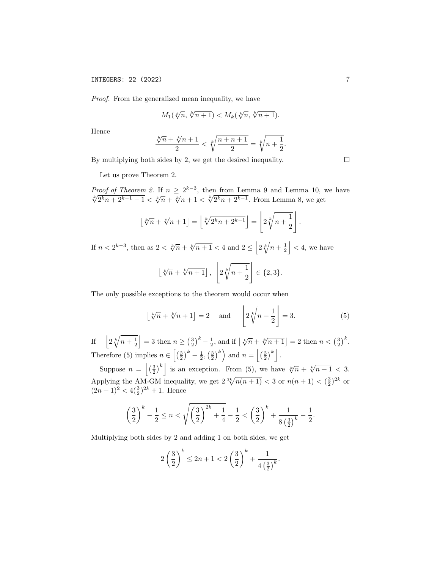# INTEGERS: 22 (2022) 7

Proof. From the generalized mean inequality, we have

$$
M_1(\sqrt[k]{n}, \sqrt[k]{n+1}) < M_k(\sqrt[k]{n}, \sqrt[k]{n+1}).
$$

Hence

$$
\frac{\sqrt[k]{n} + \sqrt[k]{n+1}}{2} < \sqrt[k]{\frac{n+n+1}{2}} = \sqrt[k]{n + \frac{1}{2}}.
$$

By multiplying both sides by 2, we get the desired inequality.

Let us prove Theorem 2.

Proof of Theorem 2. If  $n \geq 2^{k-3}$ , then from Lemma 9 and Lemma 10, we have  $\sqrt[k]{2^k n + 2^{k-1} - 1} < \sqrt[k]{n} + \sqrt[k]{n+1} < \sqrt[k]{2^k n + 2^{k-1}}$ . From Lemma 8, we get

$$
\left\lfloor \sqrt[k]{n} + \sqrt[k]{n+1} \right\rfloor = \left\lfloor \sqrt[k]{2^k n + 2^{k-1}} \right\rfloor = \left\lfloor 2\sqrt[k]{n+1} \right\rfloor
$$

If  $n < 2^{k-3}$ , then as  $2 < \sqrt[k]{n + \sqrt[k]{n+1} < 4$  and  $2 \le \left| 2\sqrt[k]{n + \frac{1}{2}} \right| < 4$ , we have  $\frac{1}{2}$  $\perp$ 

$$
\lfloor \sqrt[k]{n} + \sqrt[k]{n+1} \rfloor, \ \ \lfloor 2\sqrt[k]{n+\frac{1}{2}} \rfloor \in \{2,3\}.
$$

The only possible exceptions to the theorem would occur when

$$
\lfloor \sqrt[k]{n} + \sqrt[k]{n+1} \rfloor = 2 \quad \text{and} \quad \left\lfloor 2\sqrt[k]{n+1} \right\rfloor = 3. \tag{5}
$$

If  $\left| 2\sqrt[k]{n + \frac{1}{2}} \right| = 3$  then  $n \ge (\frac{3}{2})^k - \frac{1}{2}$ , and if  $\left\lfloor \sqrt[k]{n} + \sqrt[k]{n + 1} \right\rfloor = 2$  then  $n < (\frac{3}{2})^k$ . Therefore (5) implies  $n \in \left[\left(\frac{3}{2}\right)^k - \frac{1}{2}, \left(\frac{3}{2}\right)^k\right)$  and  $n = \left|\left(\frac{3}{2}\right)^k\right|$ .

Suppose  $n = \left| \left( \frac{3}{2} \right)^k \right|$  is an exception. From (5), we have  $\sqrt[k]{n} + \sqrt[k]{n+1} < 3$ . Applying the AM-GM inequality, we get  $2 \sqrt[2k]{n(n+1)} < 3$  or  $n(n+1) < (\frac{3}{2})^{2k}$  or  $(2n+1)^2 < 4(\frac{3}{2})^{2k} + 1$ . Hence

$$
\left(\frac{3}{2}\right)^k - \frac{1}{2} \le n < \sqrt{\left(\frac{3}{2}\right)^{2k} + \frac{1}{4}} - \frac{1}{2} < \left(\frac{3}{2}\right)^k + \frac{1}{8\left(\frac{3}{2}\right)^k} - \frac{1}{2}.
$$

Multiplying both sides by 2 and adding 1 on both sides, we get

$$
2\left(\frac{3}{2}\right)^k \le 2n + 1 < 2\left(\frac{3}{2}\right)^k + \frac{1}{4\left(\frac{3}{2}\right)^k}.
$$

 $\Box$ 

.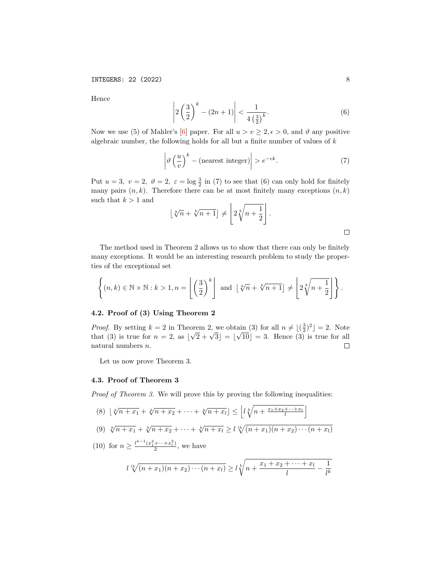Hence

$$
\left| 2\left(\frac{3}{2}\right)^k - (2n+1) \right| < \frac{1}{4\left(\frac{3}{2}\right)^k}.\tag{6}
$$

Now we use (5) of Mahler's [\[6\]](#page-10-7) paper. For all  $u > v \geq 2, \epsilon > 0$ , and  $\vartheta$  any positive algebraic number, the following holds for all but a finite number of values of  $k$ 

$$
\left|\vartheta\left(\frac{u}{v}\right)^k - (\text{nearest integer})\right| > e^{-\epsilon k}.\tag{7}
$$

Put  $u = 3$ ,  $v = 2$ ,  $\vartheta = 2$ ,  $\varepsilon = \log \frac{3}{2}$  in (7) to see that (6) can only hold for finitely many pairs  $(n, k)$ . Therefore there can be at most finitely many exceptions  $(n, k)$ such that  $k > 1$  and

$$
\lfloor \sqrt[k]{n} + \sqrt[k]{n+1} \rfloor \neq \left\lfloor 2\sqrt[k]{n+\frac{1}{2}} \right\rfloor.
$$

The method used in Theorem 2 allows us to show that there can only be finitely many exceptions. It would be an interesting research problem to study the properties of the exceptional set

$$
\left\{(n,k)\in\mathbb{N}\times\mathbb{N}:k>1,n=\left\lfloor\left(\frac{3}{2}\right)^k\right\rfloor\text{ and }\left\lfloor\sqrt[k]{n}+\sqrt[k]{n+1}\right\rfloor\neq\left\lfloor2\sqrt[k]{n+\frac{1}{2}}\right\rfloor\right\}.
$$

# 4.2. Proof of (3) Using Theorem 2

*Proof.* By setting  $k = 2$  in Theorem 2, we obtain (3) for all  $n \neq \lfloor (\frac{3}{2})^2 \rfloor = 2$ . Note orem 2, we obt<br> $\sqrt{2} + \sqrt{3}| = |$ √ that (3) is true for  $n = 2$ , as  $\vert$  $|10|=3$ . Hence  $(3)$  is true for all natural numbers n.  $\Box$ 

Let us now prove Theorem 3.

## 4.3. Proof of Theorem 3

Proof of Theorem 3. We will prove this by proving the following inequalities:

$$
(8) \ \lfloor \sqrt[k]{n + x_1} + \sqrt[k]{n + x_2} + \dots + \sqrt[k]{n + x_l} \rfloor \le \left\lfloor l\sqrt[k]{n + \frac{x_1 + x_2 + \dots + x_l}{l}} \right\rfloor
$$

$$
(9) \sqrt[k]{n+x_1} + \sqrt[k]{n+x_2} + \cdots + \sqrt[k]{n+x_l} \ge l \sqrt[k]{(n+x_1)(n+x_2)\cdots(n+x_l)}
$$

(10) for 
$$
n \ge \frac{l^{k-1}(x_1^2 + \dots + x_l^2)}{2}
$$
, we have

$$
l^{lk}\sqrt{(n+x_1)(n+x_2)\cdots(n+x_l)} \ge l\sqrt[k]{n+\frac{x_1+x_2+\cdots+x_l}{l}-\frac{1}{l^k}}
$$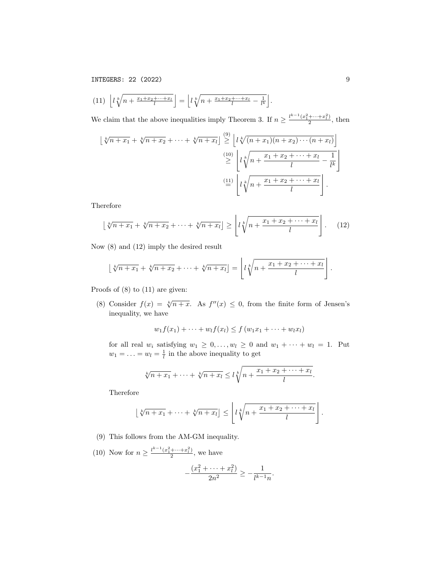INTEGERS: 22 (2022) 9

$$
(11)\ \left\lfloor l\sqrt[k]{n+\frac{x_1+x_2+\cdots+x_l}{l}}\right\rfloor=\left\lfloor l\sqrt[k]{n+\frac{x_1+x_2+\cdots+x_l}{l}-\frac{1}{l^k}}\right\rfloor.
$$

We claim that the above inequalities imply Theorem 3. If  $n \geq \frac{l^{k-1}(x_1^2 + \dots + x_l^2)}{2}$  $\frac{+\cdots+x_l}{2}$ , then

$$
\begin{aligned} \left\lfloor \sqrt[k]{n+x_1} + \sqrt[k]{n+x_2} + \dots + \sqrt[k]{n+x_l} \right\rfloor & \stackrel{(9)}{\geq} \left\lfloor l \sqrt[k]{(n+x_1)(n+x_2)\cdots(n+x_l)} \right\rfloor \\ &\geq \left\lfloor l \sqrt[k]{n+\frac{x_1+x_2+\cdots+x_l}{l}-\frac{1}{l^k}} \right\rfloor \\ &\stackrel{(11)}{=} \left\lfloor l \sqrt[k]{n+\frac{x_1+x_2+\cdots+x_l}{l}} \right\rfloor. \end{aligned}
$$

Therefore

$$
\left\lfloor \sqrt[k]{n+x_1} + \sqrt[k]{n+x_2} + \dots + \sqrt[k]{n+x_l} \right\rfloor \ge \left\lfloor l\sqrt[k]{n + \frac{x_1+x_2 + \dots + x_l}{l}} \right\rfloor. \tag{12}
$$

Now (8) and (12) imply the desired result

$$
\lfloor \sqrt[k]{n+x_1} + \sqrt[k]{n+x_2} + \cdots + \sqrt[k]{n+x_l} \rfloor = \left\lfloor l \sqrt[k]{n + \frac{x_1 + x_2 + \cdots + x_l}{l}} \right\rfloor.
$$

Proofs of (8) to (11) are given:

(8) Consider  $f(x) = \sqrt[k]{n+x}$ . As  $f''(x) \leq 0$ , from the finite form of Jensen's inequality, we have

$$
w_1 f(x_1) + \cdots + w_l f(x_l) \leq f(w_1 x_1 + \cdots + w_l x_l)
$$

for all real  $w_i$  satisfying  $w_1 \geq 0, \ldots, w_l \geq 0$  and  $w_1 + \cdots + w_l = 1$ . Put  $w_1 = \ldots = w_l = \frac{1}{l}$  in the above inequality to get

$$
\sqrt[k]{n+x_1}+\cdots+\sqrt[k]{n+x_l}\leq l\sqrt[k]{n+\frac{x_1+x_2+\cdots+x_l}{l}}.
$$

Therefore

$$
\lfloor \sqrt[k]{n+x_1} + \cdots + \sqrt[k]{n+x_l} \rfloor \le \left\lfloor l\sqrt[k]{n+\frac{x_1+x_2+\cdots+x_l}{l}} \right\rfloor
$$

- (9) This follows from the AM-GM inequality.
- (10) Now for  $n \geq \frac{l^{k-1}(x_1^2 + \dots + x_l^2)}{2}$  $\frac{+\cdots+x_l}{2}$ , we have

$$
-\frac{(x_1^2 + \dots + x_l^2)}{2n^2} \ge -\frac{1}{l^{k-1}n}
$$

.

.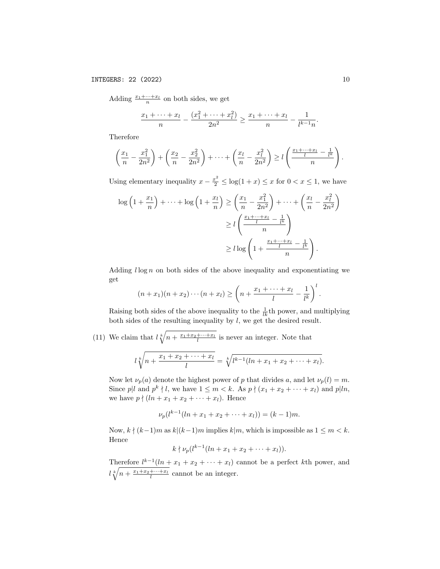Adding  $\frac{x_1 + \dots + x_l}{n}$  on both sides, we get

$$
\frac{x_1 + \dots + x_l}{n} - \frac{(x_1^2 + \dots + x_l^2)}{2n^2} \ge \frac{x_1 + \dots + x_l}{n} - \frac{1}{l^{k-1}n}.
$$

Therefore

$$
\left(\frac{x_1}{n} - \frac{x_1^2}{2n^2}\right) + \left(\frac{x_2}{n} - \frac{x_2^2}{2n^2}\right) + \dots + \left(\frac{x_l}{n} - \frac{x_l^2}{2n^2}\right) \ge l\left(\frac{\frac{x_1 + \dots + x_l}{l} - \frac{1}{l^k}}{n}\right).
$$

Using elementary inequality  $x - \frac{x^2}{2} \leq \log(1 + x) \leq x$  for  $0 < x \leq 1$ , we have

$$
\log\left(1+\frac{x_1}{n}\right)+\dots+\log\left(1+\frac{x_l}{n}\right) \ge \left(\frac{x_1}{n}-\frac{x_1^2}{2n^2}\right)+\dots+\left(\frac{x_l}{n}-\frac{x_l^2}{2n^2}\right)
$$

$$
\ge l\left(\frac{\frac{x_1+\dots+x_l}{l}-\frac{1}{l^k}}{n}\right)
$$

$$
\ge l\log\left(1+\frac{\frac{x_1+\dots+x_l}{l}-\frac{1}{l^k}}{n}\right).
$$

Adding  $l \log n$  on both sides of the above inequality and exponentiating we get

$$
(n+x_1)(n+x_2)\cdots(n+x_l)\geq \left(n+\frac{x_1+\cdots+x_l}{l}-\frac{1}{l^k}\right)^l.
$$

Raising both sides of the above inequality to the  $\frac{1}{lk}$ <sup>th</sup> power, and multiplying both sides of the resulting inequality by  $l$ , we get the desired result.

(11) We claim that  $l \sqrt[k]{n + \frac{x_1 + x_2 + \dots + x_l}{l}}$  is never an integer. Note that

$$
l\sqrt[k]{n+\frac{x_1+x_2+\cdots+x_l}{l}}=\sqrt[k]{l^{k-1}(ln+x_1+x_2+\cdots+x_l)}.
$$

Now let  $\nu_p(a)$  denote the highest power of p that divides a, and let  $\nu_p(l) = m$ . Since p|l and  $p^k \nmid l$ , we have  $1 \leq m < k$ . As  $p \nmid (x_1 + x_2 + \cdots + x_l)$  and  $p | ln$ , we have  $p \nmid (ln + x_1 + x_2 + \cdots + x_l)$ . Hence

$$
\nu_p(l^{k-1}(ln + x_1 + x_2 + \dots + x_l)) = (k-1)m.
$$

Now,  $k \nmid (k-1)m$  as  $k|(k-1)m$  implies  $k|m$ , which is impossible as  $1 \leq m < k$ . Hence

 $k\nmid \nu_p(l^{k-1}(ln+x_1+x_2+\cdots+x_l)).$ 

Therefore  $l^{k-1}(l n + x_1 + x_2 + \cdots + x_l)$  cannot be a perfect kth power, and  $\ell \sqrt[k]{n + \frac{x_1 + x_2 + \dots + x_l}{l}}$  cannot be an integer.